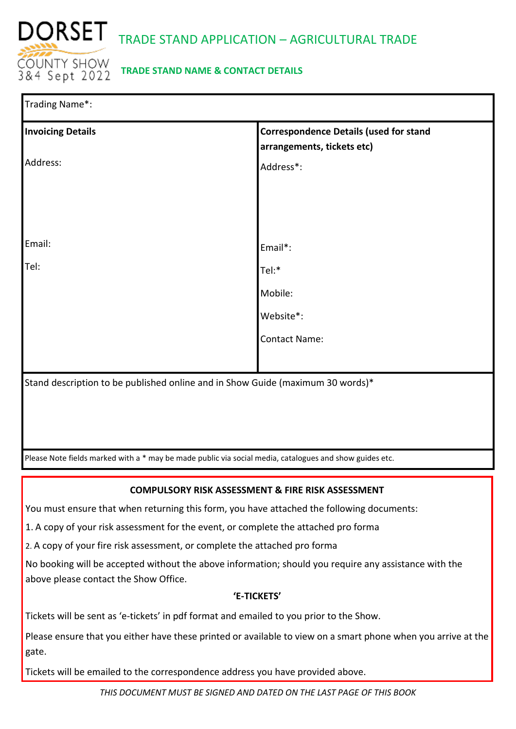

## **TRADE STAND NAME & CONTACT DETAILS**

| Trading Name*:                                                                                          |                                                                             |  |  |
|---------------------------------------------------------------------------------------------------------|-----------------------------------------------------------------------------|--|--|
| <b>Invoicing Details</b>                                                                                | <b>Correspondence Details (used for stand</b><br>arrangements, tickets etc) |  |  |
| Address:                                                                                                | Address*:                                                                   |  |  |
|                                                                                                         |                                                                             |  |  |
|                                                                                                         |                                                                             |  |  |
| Email:                                                                                                  |                                                                             |  |  |
|                                                                                                         | Email*:                                                                     |  |  |
| Tel:                                                                                                    | Tel:*                                                                       |  |  |
|                                                                                                         | Mobile:                                                                     |  |  |
|                                                                                                         | Website*:                                                                   |  |  |
|                                                                                                         | <b>Contact Name:</b>                                                        |  |  |
|                                                                                                         |                                                                             |  |  |
| Stand description to be published online and in Show Guide (maximum 30 words)*                          |                                                                             |  |  |
|                                                                                                         |                                                                             |  |  |
|                                                                                                         |                                                                             |  |  |
|                                                                                                         |                                                                             |  |  |
| Please Note fields marked with a * may be made public via social media, catalogues and show guides etc. |                                                                             |  |  |

## **COMPULSORY RISK ASSESSMENT & FIRE RISK ASSESSMENT**

You must ensure that when returning this form, you have attached the following documents:

1. A copy of your risk assessment for the event, or complete the attached pro forma

2. A copy of your fire risk assessment, or complete the attached pro forma

No booking will be accepted without the above information; should you require any assistance with the above please contact the Show Office.

### **'E-TICKETS'**

Tickets will be sent as 'e-tickets' in pdf format and emailed to you prior to the Show.

Please ensure that you either have these printed or available to view on a smart phone when you arrive at the gate.

Tickets will be emailed to the correspondence address you have provided above.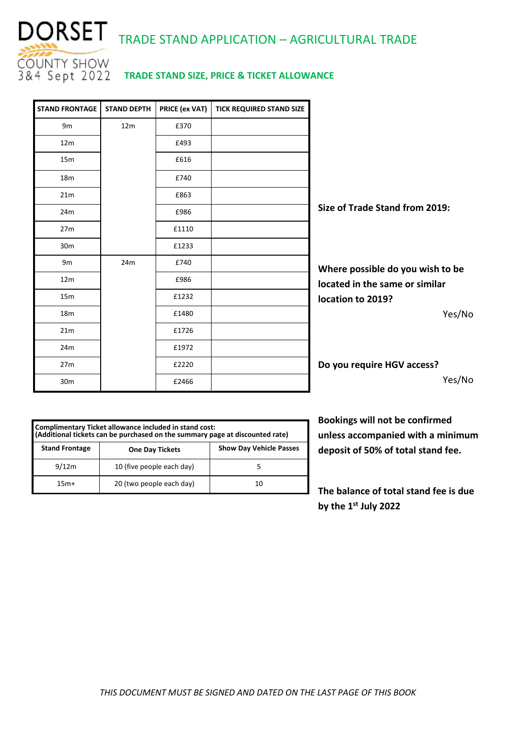

# DORSET TRADE STAND APPLICATION – AGRICULTURAL TRADE

## **TRADE STAND SIZE, PRICE & TICKET ALLOWANCE**

| <b>STAND FRONTAGE</b> | <b>STAND DEPTH</b> | PRICE (ex VAT) | <b>TICK REQUIRED STAND SIZE</b> |                                  |
|-----------------------|--------------------|----------------|---------------------------------|----------------------------------|
| 9 <sub>m</sub>        | 12m                | £370           |                                 |                                  |
| 12m                   |                    | £493           |                                 |                                  |
| 15m                   |                    | £616           |                                 |                                  |
| 18 <sub>m</sub>       |                    | £740           |                                 |                                  |
| 21m                   |                    | £863           |                                 |                                  |
| 24m                   |                    | £986           |                                 | Size of Trade Stand from 2019:   |
| 27m                   |                    | £1110          |                                 |                                  |
| 30m                   |                    | £1233          |                                 |                                  |
| 9m                    | 24m                | £740           |                                 | Where possible do you wish to be |
| 12m                   |                    | £986           |                                 | located in the same or similar   |
| 15m                   |                    | £1232          |                                 | location to 2019?                |
| 18 <sub>m</sub>       |                    | £1480          |                                 | Yes/No                           |
| 21m                   |                    | £1726          |                                 |                                  |
| 24m                   |                    | £1972          |                                 |                                  |
| 27m                   |                    | £2220          |                                 | Do you require HGV access?       |
| 30m                   |                    | £2466          |                                 | Yes/No                           |

| Complimentary Ticket allowance included in stand cost:<br>(Additional tickets can be purchased on the summary page at discounted rate) |                           |                                |  |  |
|----------------------------------------------------------------------------------------------------------------------------------------|---------------------------|--------------------------------|--|--|
| <b>Stand Frontage</b>                                                                                                                  | <b>One Day Tickets</b>    | <b>Show Day Vehicle Passes</b> |  |  |
| 9/12m                                                                                                                                  | 10 (five people each day) |                                |  |  |
| $15m+$                                                                                                                                 | 20 (two people each day)  |                                |  |  |

**Bookings will not be confirmed unless accompanied with a minimum deposit of 50% of total stand fee.**

**The balance of total stand fee is due by the 1st July 2022**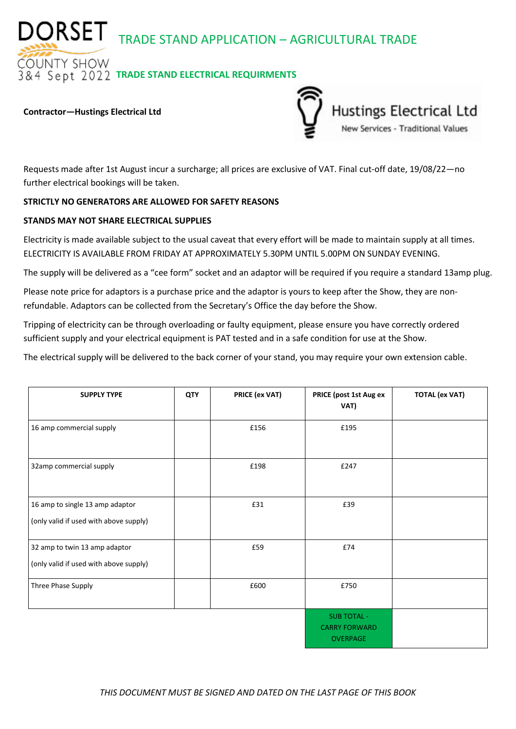DORSET TRADE STAND APPLICATION – AGRICULTURAL TRADE

**OUNTY SHOW** *RA* Sept 2022 TRADE STAND ELECTRICAL REQUIRMENTS

#### **Contractor—Hustings Electrical Ltd**



Requests made after 1st August incur a surcharge; all prices are exclusive of VAT. Final cut-off date, 19/08/22—no further electrical bookings will be taken.

### **STRICTLY NO GENERATORS ARE ALLOWED FOR SAFETY REASONS**

### **STANDS MAY NOT SHARE ELECTRICAL SUPPLIES**

Electricity is made available subject to the usual caveat that every effort will be made to maintain supply at all times. ELECTRICITY IS AVAILABLE FROM FRIDAY AT APPROXIMATELY 5.30PM UNTIL 5.00PM ON SUNDAY EVENING.

The supply will be delivered as a "cee form" socket and an adaptor will be required if you require a standard 13amp plug.

Please note price for adaptors is a purchase price and the adaptor is yours to keep after the Show, they are nonrefundable. Adaptors can be collected from the Secretary's Office the day before the Show.

Tripping of electricity can be through overloading or faulty equipment, please ensure you have correctly ordered sufficient supply and your electrical equipment is PAT tested and in a safe condition for use at the Show.

The electrical supply will be delivered to the back corner of your stand, you may require your own extension cable.

| <b>SUPPLY TYPE</b>                                                        | <b>QTY</b> | PRICE (ex VAT) | PRICE (post 1st Aug ex<br>VAT)                                | <b>TOTAL (ex VAT)</b> |
|---------------------------------------------------------------------------|------------|----------------|---------------------------------------------------------------|-----------------------|
| 16 amp commercial supply                                                  |            | £156           | £195                                                          |                       |
| 32amp commercial supply                                                   |            | £198           | £247                                                          |                       |
| 16 amp to single 13 amp adaptor<br>(only valid if used with above supply) |            | £31            | £39                                                           |                       |
| 32 amp to twin 13 amp adaptor<br>(only valid if used with above supply)   |            | £59            | £74                                                           |                       |
| Three Phase Supply                                                        |            | £600           | £750                                                          |                       |
|                                                                           |            |                | <b>SUB TOTAL -</b><br><b>CARRY FORWARD</b><br><b>OVERPAGE</b> |                       |